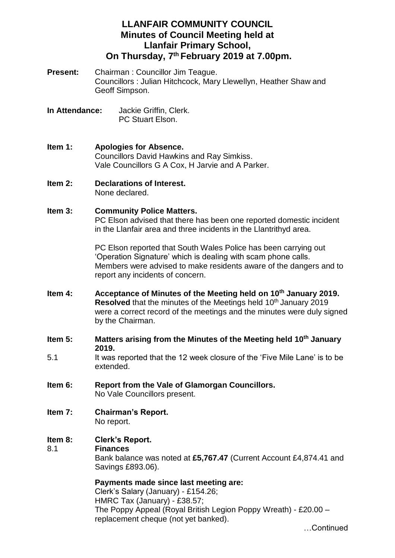# **LLANFAIR COMMUNITY COUNCIL Minutes of Council Meeting held at Llanfair Primary School, On Thursday, 7 th February 2019 at 7.00pm.**

- **Present:** Chairman : Councillor Jim Teague. Councillors : Julian Hitchcock, Mary Llewellyn, Heather Shaw and Geoff Simpson.
- **In Attendance:** Jackie Griffin, Clerk. PC Stuart Elson.
- **Item 1: Apologies for Absence.** Councillors David Hawkins and Ray Simkiss. Vale Councillors G A Cox, H Jarvie and A Parker.
- **Item 2: Declarations of Interest.** None declared.
- **Item 3: Community Police Matters.**

PC Elson advised that there has been one reported domestic incident in the Llanfair area and three incidents in the Llantrithyd area.

PC Elson reported that South Wales Police has been carrying out 'Operation Signature' which is dealing with scam phone calls. Members were advised to make residents aware of the dangers and to report any incidents of concern.

- **Item 4: Acceptance of Minutes of the Meeting held on 10th January 2019. Resolved** that the minutes of the Meetings held 10<sup>th</sup> January 2019 were a correct record of the meetings and the minutes were duly signed by the Chairman.
- **Item 5: Matters arising from the Minutes of the Meeting held 10th January 2019.**
- 5.1 It was reported that the 12 week closure of the 'Five Mile Lane' is to be extended.
- **Item 6: Report from the Vale of Glamorgan Councillors.** No Vale Councillors present.
- **Item 7: Chairman's Report.** No report.

#### **Item 8: Clerk's Report.** 8.1 **Finances**

Bank balance was noted at **£5,767.47** (Current Account £4,874.41 and Savings £893.06).

# **Payments made since last meeting are:**

Clerk's Salary (January) - £154.26; HMRC Tax (January) - £38.57; The Poppy Appeal (Royal British Legion Poppy Wreath) - £20.00 – replacement cheque (not yet banked).

…Continued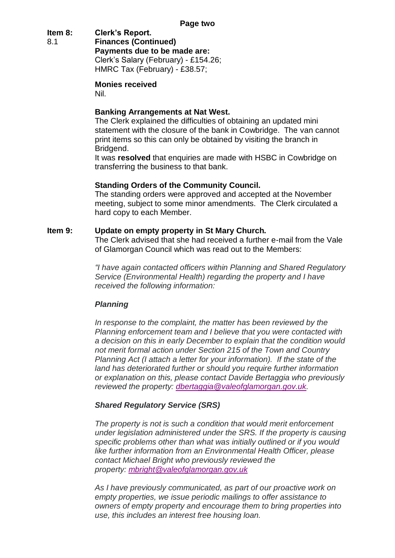# **Item 8: Clerk's Report.**

8.1 **Finances (Continued) Payments due to be made are:** Clerk's Salary (February) - £154.26; HMRC Tax (February) - £38.57;

### **Monies received**

Nil.

## **Banking Arrangements at Nat West.**

The Clerk explained the difficulties of obtaining an updated mini statement with the closure of the bank in Cowbridge. The van cannot print items so this can only be obtained by visiting the branch in Bridgend.

It was **resolved** that enquiries are made with HSBC in Cowbridge on transferring the business to that bank.

### **Standing Orders of the Community Council.**

The standing orders were approved and accepted at the November meeting, subject to some minor amendments. The Clerk circulated a hard copy to each Member.

### **Item 9: Update on empty property in St Mary Church.**

The Clerk advised that she had received a further e-mail from the Vale of Glamorgan Council which was read out to the Members:

*"I have again contacted officers within Planning and Shared Regulatory Service (Environmental Health) regarding the property and I have received the following information:*

### *Planning*

*In response to the complaint, the matter has been reviewed by the Planning enforcement team and I believe that you were contacted with a decision on this in early December to explain that the condition would not merit formal action under Section 215 of the Town and Country Planning Act (I attach a letter for your information). If the state of the land has deteriorated further or should you require further information or explanation on this, please contact Davide Bertaggia who previously reviewed the property: [dbertaggia@valeofglamorgan.gov.uk.](mailto:dbertaggia@valeofglamorgan.gov.uk)*

### *Shared Regulatory Service (SRS)*

*The property is not is such a condition that would merit enforcement under legislation administered under the SRS. If the property is causing specific problems other than what was initially outlined or if you would like further information from an Environmental Health Officer, please contact Michael Bright who previously reviewed the property: [mbright@valeofglamorgan.gov.uk](mailto:mbright@valeofglamorgan.gov.uk)*

*As I have previously communicated, as part of our proactive work on empty properties, we issue periodic mailings to offer assistance to owners of empty property and encourage them to bring properties into use, this includes an interest free housing loan.*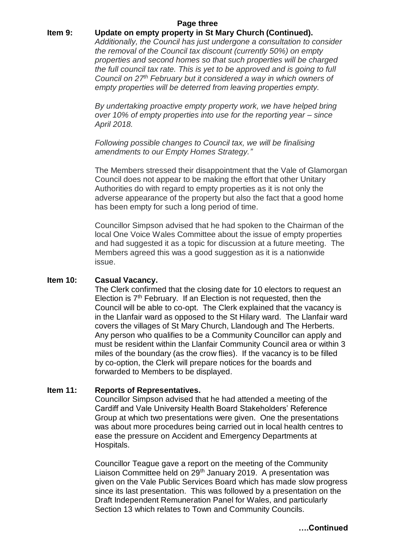#### **Page three**

### **Item 9: Update on empty property in St Mary Church (Continued).**

*Additionally, the Council has just undergone a consultation to consider the removal of the Council tax discount (currently 50%) on empty properties and second homes so that such properties will be charged the full council tax rate. This is yet to be approved and is going to full Council on 27th February but it considered a way in which owners of empty properties will be deterred from leaving properties empty.*

*By undertaking proactive empty property work, we have helped bring over 10% of empty properties into use for the reporting year – since April 2018.*

*Following possible changes to Council tax, we will be finalising amendments to our Empty Homes Strategy."*

The Members stressed their disappointment that the Vale of Glamorgan Council does not appear to be making the effort that other Unitary Authorities do with regard to empty properties as it is not only the adverse appearance of the property but also the fact that a good home has been empty for such a long period of time.

Councillor Simpson advised that he had spoken to the Chairman of the local One Voice Wales Committee about the issue of empty properties and had suggested it as a topic for discussion at a future meeting. The Members agreed this was a good suggestion as it is a nationwide issue.

#### **Item 10: Casual Vacancy.**

The Clerk confirmed that the closing date for 10 electors to request an Election is  $7<sup>th</sup>$  February. If an Election is not requested, then the Council will be able to co-opt. The Clerk explained that the vacancy is in the Llanfair ward as opposed to the St Hilary ward. The Llanfair ward covers the villages of St Mary Church, Llandough and The Herberts. Any person who qualifies to be a Community Councillor can apply and must be resident within the Llanfair Community Council area or within 3 miles of the boundary (as the crow flies). If the vacancy is to be filled by co-option, the Clerk will prepare notices for the boards and forwarded to Members to be displayed.

#### **Item 11: Reports of Representatives.**

Councillor Simpson advised that he had attended a meeting of the Cardiff and Vale University Health Board Stakeholders' Reference Group at which two presentations were given. One the presentations was about more procedures being carried out in local health centres to ease the pressure on Accident and Emergency Departments at Hospitals.

Councillor Teague gave a report on the meeting of the Community Liaison Committee held on 29<sup>th</sup> January 2019. A presentation was given on the Vale Public Services Board which has made slow progress since its last presentation. This was followed by a presentation on the Draft Independent Remuneration Panel for Wales, and particularly Section 13 which relates to Town and Community Councils.